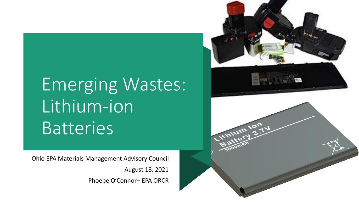# Emerging Wastes: Lithium -ion **Batteries**

Ohio EPA Materials Management Advisory Council

August 18, 2021

Phoebe O'Connor – EPA ORCR

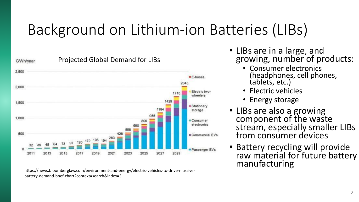## Background on Lithium-ion Batteries (LIBs)



https://news.bloomberglaw.com/environment-and-energy/electric-vehicles-to-drive-massivebattery-demand-bnef-chart?context=search&index=3

- LIBs are in a large, and growing, number of products:
	- Consumer electronics (headphones, cell phones, tablets, etc.)
	- Electric vehicles
	- Energy storage
- LIBs are also a growing component of the waste stream, especially smaller LIBs from consumer devices
- Battery recycling will provide raw material for future battery manufacturing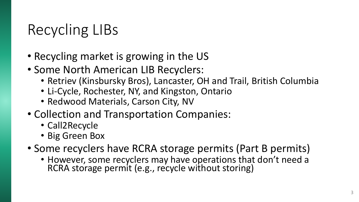### Recycling LIBs

- Recycling market is growing in the US
- Some North American LIB Recyclers:
	- Retriev (Kinsbursky Bros), Lancaster, OH and Trail, British Columbia
	- Li-Cycle, Rochester, NY, and Kingston, Ontario
	- Redwood Materials, Carson City, NV
- Collection and Transportation Companies:
	- Call2Recycle
	- Big Green Box
- Some recyclers have RCRA storage permits (Part B permits)
	- However, some recyclers may have operations that don't need a RCRA storage permit (e.g., recycle without storing)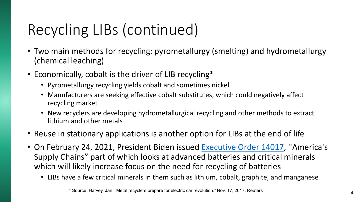# Recycling LIBs (continued)

- Two main methods for recycling: pyrometallurgy (smelting) and hydrometallurgy (chemical leaching)
- Economically, cobalt is the driver of LIB recycling\*
	- Pyrometallurgy recycling yields cobalt and sometimes nickel
	- Manufacturers are seeking effective cobalt substitutes, which could negatively affect recycling market
	- New recyclers are developing hydrometallurgical recycling and other methods to extract lithium and other metals
- Reuse in stationary applications is another option for LIBs at the end of life
- On February 24, 2021, President Biden issued [Executive Order 14017,](https://www.whitehouse.gov/briefing-room/presidential-actions/2021/02/24/executive-order-on-americas-supply-chains/) "America's Supply Chains" part of which looks at advanced batteries and critical minerals which will likely increase focus on the need for recycling of batteries
	- LIBs have a few critical minerals in them such as lithium, cobalt, graphite, and manganese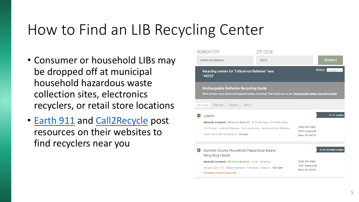### How to Find an LIB Recycling Center

- Consumer or household LIBs may be dropped off at municipal household hazardous waste collection sites, electronics recyclers, or retail store locations
- [Earth 911](https://search.earth911.com/) and [Call2Recycle](https://www.call2recycle.org/locator/) post resources on their websites to find recyclers near you

| <b>SEARCH FOR</b>                                  | ZIP CODE                                                                                                           |                                                    |                            |
|----------------------------------------------------|--------------------------------------------------------------------------------------------------------------------|----------------------------------------------------|----------------------------|
| <b>Lithium-ion Batteries</b>                       | 44223                                                                                                              |                                                    | <b>SEARCH</b>              |
| "44223"                                            | Recycling centers for "Lithium-ion Batteries" near                                                                 |                                                    | Within:<br>25 miles        |
| <b>Rechargeable Batteries Recycling Guide</b>      | Want to know more about rechargeable battery recycling? Then head over to our Rechargeable Battery Recycling Guide |                                                    |                            |
| <b>All Listings</b><br><b>Map View</b><br>Programs | Mail-In                                                                                                            |                                                    |                            |
| Lowe's<br>  A                                      |                                                                                                                    |                                                    | 2.1 mi. Location           |
|                                                    | Materials accepted: Lithium-ion Batteries #2 Plastic Bags #4 Plastic Bags                                          |                                                    |                            |
| Nickel-metal Hydride Batteries +2 more             | Cell Phones Lead-acid Batteries - Non-automotive Nickel-cadmium Batteries                                          | (330) 920-9280<br>3570 Hudson Dr<br>Stow, OH 44224 |                            |
|                                                    |                                                                                                                    |                                                    |                            |
| $\boxed{B}$                                        | Summit County Household Hazardous Waste                                                                            |                                                    | 2.2 mi. Municipal Location |
| <b>Recycling Center</b>                            |                                                                                                                    |                                                    |                            |
|                                                    | Materials accepted: Lithium-ion Batteries Acids Adhesives                                                          | $(330)$ 374-0383<br>1201 Graham Rd                 |                            |
|                                                    | Aerosol Cans - Full Alkaline Batteries Antifreeze Asbestos +55 more                                                | Stow, OH 44224                                     |                            |
| For residents of Summit County only.               |                                                                                                                    |                                                    |                            |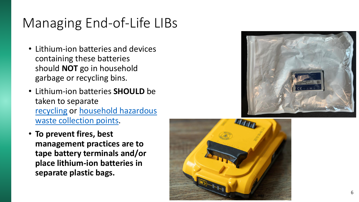#### Managing End-of-Life LIBs

- Lithium -ion batteries and devices containing these batteries should **NOT** go in household garbage or recycling bins.
- Lithium -ion batteries **SHOULD** be taken to separate [recycling](https://search.earth911.com/?what=Lithium-ion+Batteries) or household hazardous [waste collection points](https://search.earth911.com/?what=household+hazardous+waste).
- **To prevent fires, best management practices are to tape battery terminals and/or place lithium -ion batteries in separate plastic bags.**



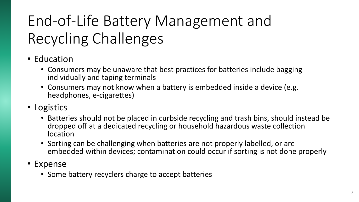# End-of-Life Battery Management and Recycling Challenges

- Education
	- Consumers may be unaware that best practices for batteries include bagging individually and taping terminals
	- Consumers may not know when a battery is embedded inside a device (e.g. headphones, e-cigarettes)
- Logistics
	- Batteries should not be placed in curbside recycling and trash bins, should instead be dropped off at a dedicated recycling or household hazardous waste collection location
	- Sorting can be challenging when batteries are not properly labelled, or are embedded within devices; contamination could occur if sorting is not done properly
- Expense
	- Some battery recyclers charge to accept batteries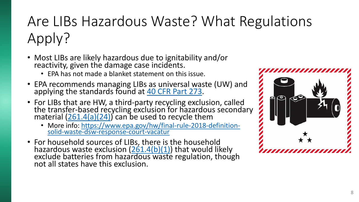## Are LIBs Hazardous Waste? What Regulations Apply?

- Most LIBs are likely hazardous due to ignitability and/or reactivity, given the damage case incidents.
	- EPA has not made a blanket statement on this issue.
- EPA recommends managing LIBs as universal waste (UW) and applying the standards found at [40 CFR Part 273](https://www.ecfr.gov/cgi-bin/retrieveECFR?gp=&SID=cab2070fb52915b3dc959f6c22e1816d&mc=true&r=PART&n=pt40.29.273).
- For LIBs that are HW, a third-party recycling exclusion, called the transfer-based recycling exclusion for hazardous secondary material [\(261.4\(a\)\(24\)\)](https://www.ecfr.gov/cgi-bin/text-idx?node=pt40.26.261#se40.28.261_14) can be used to recycle them
	- [More info: https://www.epa.gov/hw/final-rule-2018-definition](https://www.epa.gov/hw/final-rule-2018-definition-solid-waste-dsw-response-court-vacatur)solid-waste-dsw-response-court-vacatur
- For household sources of LIBs, there is the household hazardous waste exclusion [\(261.4\(b\)\(1\)](https://www.ecfr.gov/cgi-bin/text-idx?node=pt40.26.261) that would likely exclude batteries from hazardous waste regulation, though not all states have this exclusion.

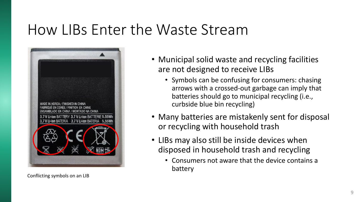#### How LIBs Enter the Waste Stream



Conflicting symbols on an LIB

- Municipal solid waste and recycling facilities are not designed to receive LIBs
	- Symbols can be confusing for consumers: chasing arrows with a crossed-out garbage can imply that batteries should go to municipal recycling (i.e., curbside blue bin recycling)
- Many batteries are mistakenly sent for disposal or recycling with household trash
- LIBs may also still be inside devices when disposed in household trash and recycling
	- Consumers not aware that the device contains a battery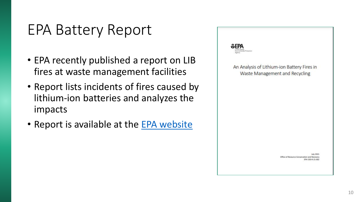#### EPA Battery Report

- EPA recently published a report on LIB fires at waste management facilities
- Report lists incidents of fires caused by lithium-ion batteries and analyzes the impacts
- Report is available at the [EPA website](https://www.epa.gov/recycle/importance-sending-consumers-used-lithium-ion-batteries-electronic-recyclers-or-hazardous)

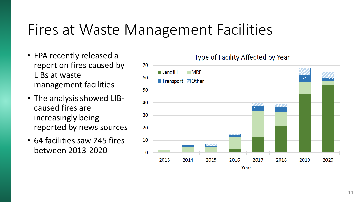#### Fires at Waste Management Facilities

- EPA recently released a report on fires caused by LIBs at waste management facilities
- The analysis showed LIBcaused fires are increasingly being reported by news sources
- 64 facilities saw 245 fires between 2013-2020

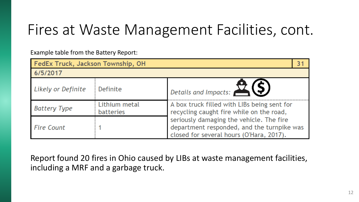### Fires at Waste Management Facilities, cont.

Example table from the Battery Report:

| FedEx Truck, Jackson Township, OH |                                   |                                                                                                                                    |  |  |
|-----------------------------------|-----------------------------------|------------------------------------------------------------------------------------------------------------------------------------|--|--|
| 6/5/2017                          |                                   |                                                                                                                                    |  |  |
| Likely or Definite                | Definite                          | Details and Impacts: NS                                                                                                            |  |  |
| <b>Battery Type</b>               | Lithium metal<br><b>batteries</b> | A box truck filled with LIBs being sent for<br>recycling caught fire while on the road,                                            |  |  |
| <b>Fire Count</b>                 |                                   | seriously damaging the vehicle. The fire<br>department responded, and the turnpike was<br>closed for several hours (O'Hara, 2017). |  |  |

Report found 20 fires in Ohio caused by LIBs at waste management facilities, including a MRF and a garbage truck.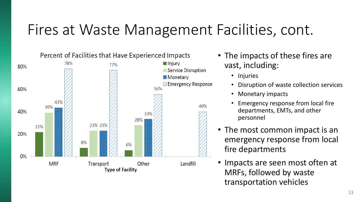### Fires at Waste Management Facilities, cont.



- The impacts of these fires are vast, including:
	- Injuries
	- Disruption of waste collection services
	- Monetary impacts
	- Emergency response from local fire departments, EMTs, and other personnel
- The most common impact is an emergency response from local fire departments
- Impacts are seen most often at MRFs, followed by waste transportation vehicles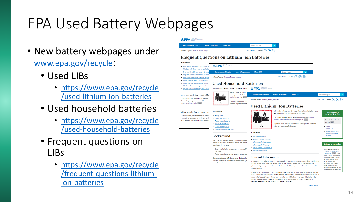## EPA Used Battery Webpages

- New battery webpages under [www.epa.gov/recycle](http://www.epa.gov/recycle):
	- Used LIBs
		- [https://www.epa.gov/recycle](https://www.epa.gov/recycle/used-lithium-ion-batteries) /used -lithium -ion -batteries
	- Used household batteries
		- [https://www.epa.gov/recycle](https://www.epa.gov/recycle/used-household-batteries) /used -household -batteries
	- Frequent questions on LIBs
		- [https://www.epa.gov/recycle](https://www.epa.gov/recycle/frequent-questions-lithium-ion-batteries) /frequent -questions -lithium ion -batteries